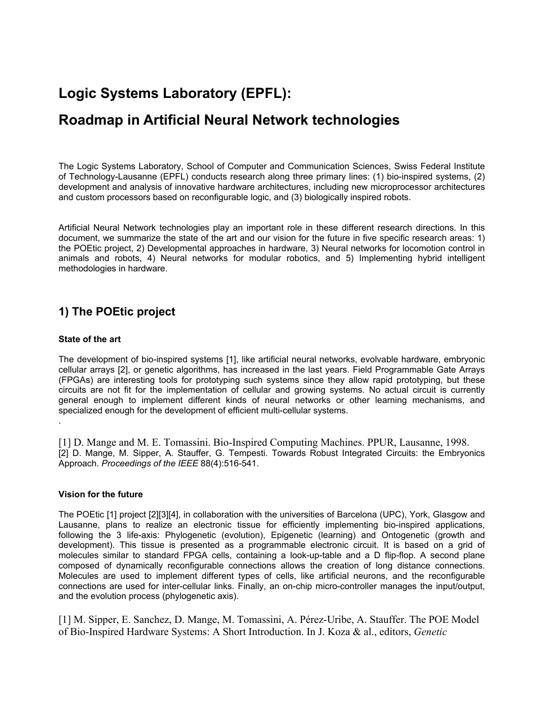# **Logic Systems Laboratory (EPFL):**

# **Roadmap in Artificial Neural Network technologies**

The Logic Systems Laboratory, School of Computer and Communication Sciences, Swiss Federal Institute of Technology-Lausanne (EPFL) conducts research along three primary lines: (1) bio-inspired systems, (2) development and analysis of innovative hardware architectures, including new microprocessor architectures and custom processors based on reconfigurable logic, and (3) biologically inspired robots.

Artificial Neural Network technologies play an important role in these different research directions. In this document, we summarize the state of the art and our vision for the future in five specific research areas: 1) the POEtic project, 2) Developmental approaches in hardware, 3) Neural networks for locomotion control in animals and robots, 4) Neural networks for modular robotics, and 5) Implementing hybrid intelligent methodologies in hardware.

# **1) The POEtic project**

## **State of the art**

The development of bio-inspired systems [1], like artificial neural networks, evolvable hardware, embryonic cellular arrays [2], or genetic algorithms, has increased in the last years. Field Programmable Gate Arrays (FPGAs) are interesting tools for prototyping such systems since they allow rapid prototyping, but these circuits are not fit for the implementation of cellular and growing systems. No actual circuit is currently general enough to implement different kinds of neural networks or other learning mechanisms, and specialized enough for the development of efficient multi-cellular systems. .

[1] D. Mange and M. E. Tomassini. Bio-Inspired Computing Machines. PPUR, Lausanne, 1998. [2] D. Mange, M. Sipper, A. Stauffer, G. Tempesti. Towards Robust Integrated Circuits: the Embryonics Approach. *Proceedings of the IEEE* 88(4):516-541.

#### **Vision for the future**

The POEtic [1] project [2][3][4], in collaboration with the universities of Barcelona (UPC), York, Glasgow and Lausanne, plans to realize an electronic tissue for efficiently implementing bio-inspired applications, following the 3 life-axis: Phylogenetic (evolution), Epigenetic (learning) and Ontogenetic (growth and development). This tissue is presented as a programmable electronic circuit. It is based on a grid of molecules similar to standard FPGA cells, containing a look-up-table and a D flip-flop. A second plane composed of dynamically reconfigurable connections allows the creation of long distance connections. Molecules are used to implement different types of cells, like artificial neurons, and the reconfigurable connections are used for inter-cellular links. Finally, an on-chip micro-controller manages the input/output, and the evolution process (phylogenetic axis).

[1] M. Sipper, E. Sanchez, D. Mange, M. Tomassini, A. Pérez-Uribe, A. Stauffer. The POE Model of Bio-Inspired Hardware Systems: A Short Introduction. In J. Koza & al., editors, *Genetic*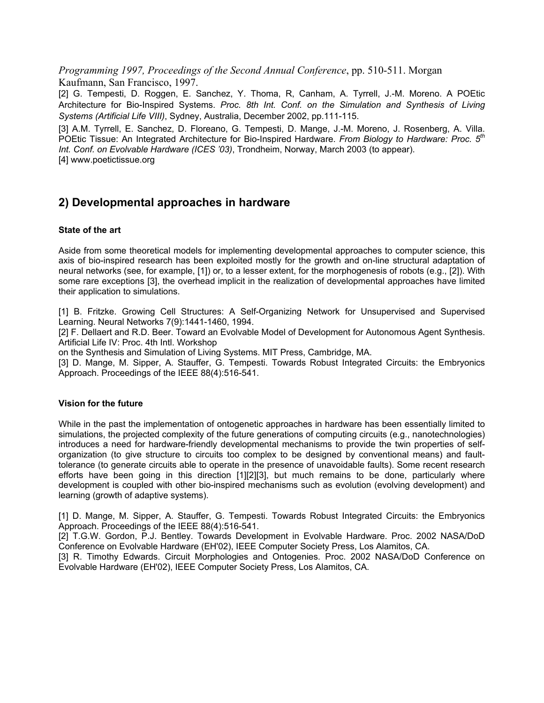*Programming 1997, Proceedings of the Second Annual Conference*, pp. 510-511. Morgan Kaufmann, San Francisco, 1997.

[2] G. Tempesti, D. Roggen, E. Sanchez, Y. Thoma, R, Canham, A. Tyrrell, J.-M. Moreno. A POEtic Architecture for Bio-Inspired Systems. *Proc. 8th Int. Conf. on the Simulation and Synthesis of Living Systems (Artificial Life VIII)*, Sydney, Australia, December 2002, pp.111-115.

[3] A.M. Tyrrell, E. Sanchez, D. Floreano, G. Tempesti, D. Mange, J.-M. Moreno, J. Rosenberg, A. Villa. POEtic Tissue: An Integrated Architecture for Bio-Inspired Hardware. *From Biology to Hardware: Proc. 5th Int. Conf. on Evolvable Hardware (ICES '03)*, Trondheim, Norway, March 2003 (to appear). [4] www.poetictissue.org

## **2) Developmental approaches in hardware**

## **State of the art**

Aside from some theoretical models for implementing developmental approaches to computer science, this axis of bio-inspired research has been exploited mostly for the growth and on-line structural adaptation of neural networks (see, for example, [1]) or, to a lesser extent, for the morphogenesis of robots (e.g., [2]). With some rare exceptions [3], the overhead implicit in the realization of developmental approaches have limited their application to simulations.

[1] B. Fritzke. Growing Cell Structures: A Self-Organizing Network for Unsupervised and Supervised Learning. Neural Networks 7(9):1441-1460, 1994.

[2] F. Dellaert and R.D. Beer. Toward an Evolvable Model of Development for Autonomous Agent Synthesis. Artificial Life IV: Proc. 4th Intl. Workshop

on the Synthesis and Simulation of Living Systems. MIT Press, Cambridge, MA.

[3] D. Mange, M. Sipper, A. Stauffer, G. Tempesti. Towards Robust Integrated Circuits: the Embryonics Approach. Proceedings of the IEEE 88(4):516-541.

#### **Vision for the future**

While in the past the implementation of ontogenetic approaches in hardware has been essentially limited to simulations, the projected complexity of the future generations of computing circuits (e.g., nanotechnologies) introduces a need for hardware-friendly developmental mechanisms to provide the twin properties of selforganization (to give structure to circuits too complex to be designed by conventional means) and faulttolerance (to generate circuits able to operate in the presence of unavoidable faults). Some recent research efforts have been going in this direction [1][2][3], but much remains to be done, particularly where development is coupled with other bio-inspired mechanisms such as evolution (evolving development) and learning (growth of adaptive systems).

[1] D. Mange, M. Sipper, A. Stauffer, G. Tempesti. Towards Robust Integrated Circuits: the Embryonics Approach. Proceedings of the IEEE 88(4):516-541.

[2] T.G.W. Gordon, P.J. Bentley. Towards Development in Evolvable Hardware. Proc. 2002 NASA/DoD Conference on Evolvable Hardware (EH'02), IEEE Computer Society Press, Los Alamitos, CA.

[3] R. Timothy Edwards. Circuit Morphologies and Ontogenies. Proc. 2002 NASA/DoD Conference on Evolvable Hardware (EH'02), IEEE Computer Society Press, Los Alamitos, CA.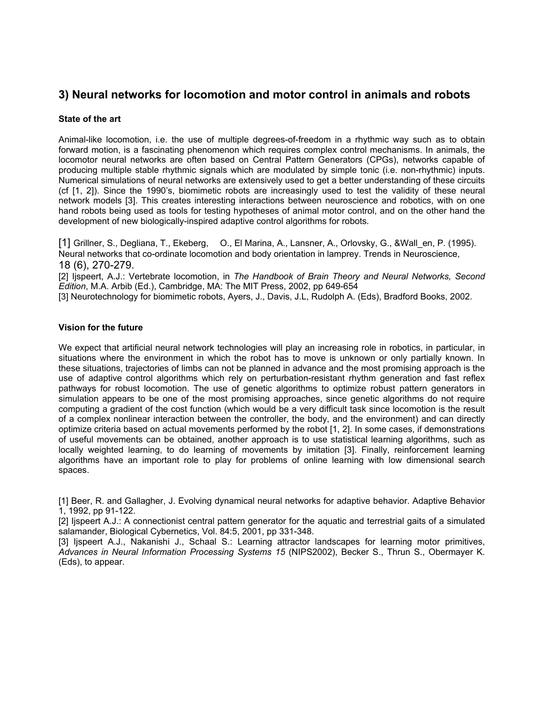# **3) Neural networks for locomotion and motor control in animals and robots**

## **State of the art**

Animal-like locomotion, i.e. the use of multiple degrees-of-freedom in a rhythmic way such as to obtain forward motion, is a fascinating phenomenon which requires complex control mechanisms. In animals, the locomotor neural networks are often based on Central Pattern Generators (CPGs), networks capable of producing multiple stable rhythmic signals which are modulated by simple tonic (i.e. non-rhythmic) inputs. Numerical simulations of neural networks are extensively used to get a better understanding of these circuits (cf [1, 2]). Since the 1990's, biomimetic robots are increasingly used to test the validity of these neural network models [3]. This creates interesting interactions between neuroscience and robotics, with on one hand robots being used as tools for testing hypotheses of animal motor control, and on the other hand the development of new biologically-inspired adaptive control algorithms for robots.

[1] Grillner, S., Degliana, T., Ekeberg, O., El Marina, A., Lansner, A., Orlovsky, G., &Wall\_en, P. (1995). Neural networks that co-ordinate locomotion and body orientation in lamprey. Trends in Neuroscience, 18 (6), 270-279.

[2] Ijspeert, A.J.: Vertebrate locomotion, in The Handbook of Brain Theory and Neural Networks, Second *Edition*, M.A. Arbib (Ed.), Cambridge, MA: The MIT Press, 2002, pp 649-654 [3] Neurotechnology for biomimetic robots, Ayers, J., Davis, J.L, Rudolph A. (Eds), Bradford Books, 2002.

## **Vision for the future**

We expect that artificial neural network technologies will play an increasing role in robotics, in particular, in situations where the environment in which the robot has to move is unknown or only partially known. In these situations, trajectories of limbs can not be planned in advance and the most promising approach is the use of adaptive control algorithms which rely on perturbation-resistant rhythm generation and fast reflex pathways for robust locomotion. The use of genetic algorithms to optimize robust pattern generators in simulation appears to be one of the most promising approaches, since genetic algorithms do not require computing a gradient of the cost function (which would be a very difficult task since locomotion is the result of a complex nonlinear interaction between the controller, the body, and the environment) and can directly optimize criteria based on actual movements performed by the robot [1, 2]. In some cases, if demonstrations of useful movements can be obtained, another approach is to use statistical learning algorithms, such as locally weighted learning, to do learning of movements by imitation [3]. Finally, reinforcement learning algorithms have an important role to play for problems of online learning with low dimensional search spaces.

[1] Beer, R. and Gallagher, J. Evolving dynamical neural networks for adaptive behavior. Adaptive Behavior 1, 1992, pp 91-122.

[2] Ijspeert A.J.: A connectionist central pattern generator for the aquatic and terrestrial gaits of a simulated salamander, Biological Cybernetics, Vol. 84:5, 2001, pp 331-348.

[3] Ijspeert A.J., Nakanishi J., Schaal S.: Learning attractor landscapes for learning motor primitives, *Advances in Neural Information Processing Systems 15* (NIPS2002), Becker S., Thrun S., Obermayer K. (Eds), to appear.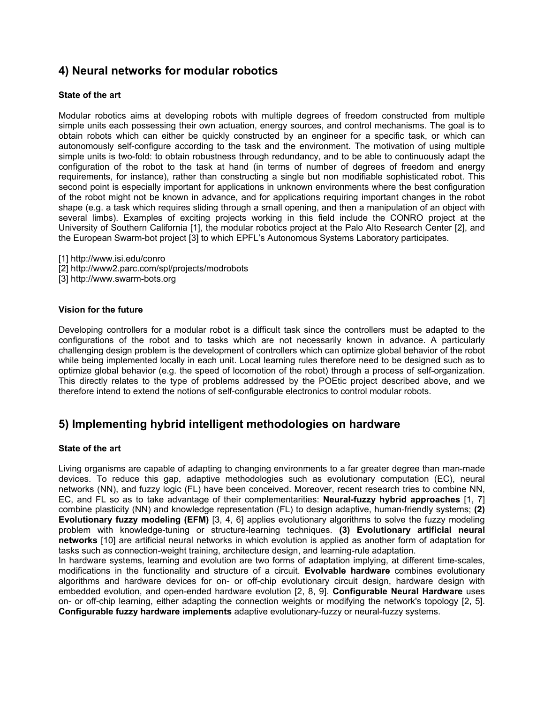# **4) Neural networks for modular robotics**

## **State of the art**

Modular robotics aims at developing robots with multiple degrees of freedom constructed from multiple simple units each possessing their own actuation, energy sources, and control mechanisms. The goal is to obtain robots which can either be quickly constructed by an engineer for a specific task, or which can autonomously self-configure according to the task and the environment. The motivation of using multiple simple units is two-fold: to obtain robustness through redundancy, and to be able to continuously adapt the configuration of the robot to the task at hand (in terms of number of degrees of freedom and energy requirements, for instance), rather than constructing a single but non modifiable sophisticated robot. This second point is especially important for applications in unknown environments where the best configuration of the robot might not be known in advance, and for applications requiring important changes in the robot shape (e.g. a task which requires sliding through a small opening, and then a manipulation of an object with several limbs). Examples of exciting projects working in this field include the CONRO project at the University of Southern California [1], the modular robotics project at the Palo Alto Research Center [2], and the European Swarm-bot project [3] to which EPFL's Autonomous Systems Laboratory participates.

- [1] http://www.isi.edu/conro
- [2] http://www2.parc.com/spl/projects/modrobots
- [3] http://www.swarm-bots.org

#### **Vision for the future**

Developing controllers for a modular robot is a difficult task since the controllers must be adapted to the configurations of the robot and to tasks which are not necessarily known in advance. A particularly challenging design problem is the development of controllers which can optimize global behavior of the robot while being implemented locally in each unit. Local learning rules therefore need to be designed such as to optimize global behavior (e.g. the speed of locomotion of the robot) through a process of self-organization. This directly relates to the type of problems addressed by the POEtic project described above, and we therefore intend to extend the notions of self-configurable electronics to control modular robots.

## **5) Implementing hybrid intelligent methodologies on hardware**

#### **State of the art**

Living organisms are capable of adapting to changing environments to a far greater degree than man-made devices. To reduce this gap, adaptive methodologies such as evolutionary computation (EC), neural networks (NN), and fuzzy logic (FL) have been conceived. Moreover, recent research tries to combine NN, EC, and FL so as to take advantage of their complementarities: **Neural-fuzzy hybrid approaches** [1, 7] combine plasticity (NN) and knowledge representation (FL) to design adaptive, human-friendly systems; **(2) Evolutionary fuzzy modeling (EFM)** [3, 4, 6] applies evolutionary algorithms to solve the fuzzy modeling problem with knowledge-tuning or structure-learning techniques. **(3) Evolutionary artificial neural networks** [10] are artificial neural networks in which evolution is applied as another form of adaptation for tasks such as connection-weight training, architecture design, and learning-rule adaptation.

In hardware systems, learning and evolution are two forms of adaptation implying, at different time-scales, modifications in the functionality and structure of a circuit. **Evolvable hardware** combines evolutionary algorithms and hardware devices for on- or off-chip evolutionary circuit design, hardware design with embedded evolution, and open-ended hardware evolution [2, 8, 9]. **Configurable Neural Hardware** uses on- or off-chip learning, either adapting the connection weights or modifying the network's topology [2, 5]. **Configurable fuzzy hardware implements** adaptive evolutionary-fuzzy or neural-fuzzy systems.